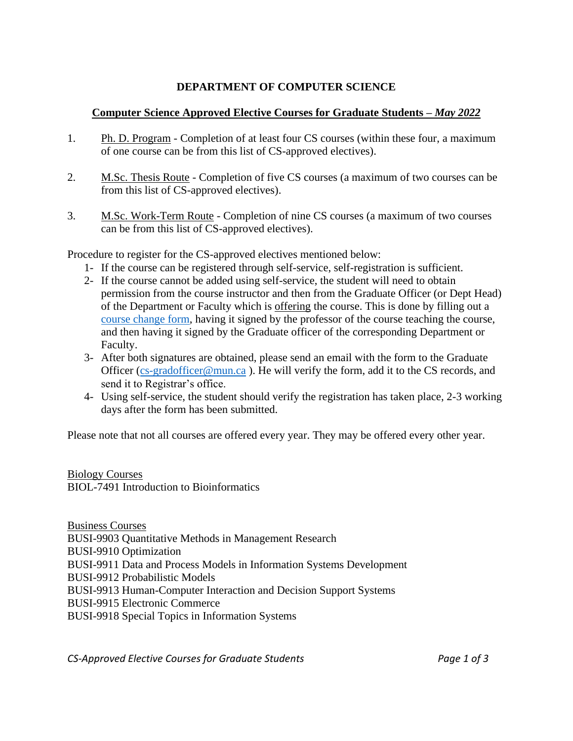## **DEPARTMENT OF COMPUTER SCIENCE**

## **Computer Science Approved Elective Courses for Graduate Students –** *May 2022*

- 1. Ph. D. Program Completion of at least four CS courses (within these four, a maximum of one course can be from this list of CS-approved electives).
- 2. M.Sc. Thesis Route Completion of five CS courses (a maximum of two courses can be from this list of CS-approved electives).
- 3. M.Sc. Work-Term Route Completion of nine CS courses (a maximum of two courses can be from this list of CS-approved electives).

Procedure to register for the CS-approved electives mentioned below:

- 1- If the course can be registered through self-service, self-registration is sufficient.
- 2- If the course cannot be added using self-service, the student will need to obtain permission from the course instructor and then from the Graduate Officer (or Dept Head) of the Department or Faculty which is offering the course. This is done by filling out a [course change form,](https://www.med.mun.ca/getdoc/8bf5a6ca-1c6c-4d58-b7d5-b97c9c1c3b7c/Course-Change-Form.aspx) having it signed by the professor of the course teaching the course, and then having it signed by the Graduate officer of the corresponding Department or Faculty.
- 3- After both signatures are obtained, please send an email with the form to the Graduate Officer [\(cs-gradofficer@mun.ca](mailto:cs-gradofficer@mun.ca) ). He will verify the form, add it to the CS records, and send it to Registrar's office.
- 4- Using self-service, the student should verify the registration has taken place, 2-3 working days after the form has been submitted.

Please note that not all courses are offered every year. They may be offered every other year.

Biology Courses BIOL-7491 Introduction to Bioinformatics

Business Courses BUSI-9903 Quantitative Methods in Management Research BUSI-9910 Optimization BUSI-9911 Data and Process Models in Information Systems Development BUSI-9912 Probabilistic Models BUSI-9913 Human-Computer Interaction and Decision Support Systems BUSI-9915 Electronic Commerce BUSI-9918 Special Topics in Information Systems

*CS-Approved Elective Courses for Graduate Students Page 1 of 3*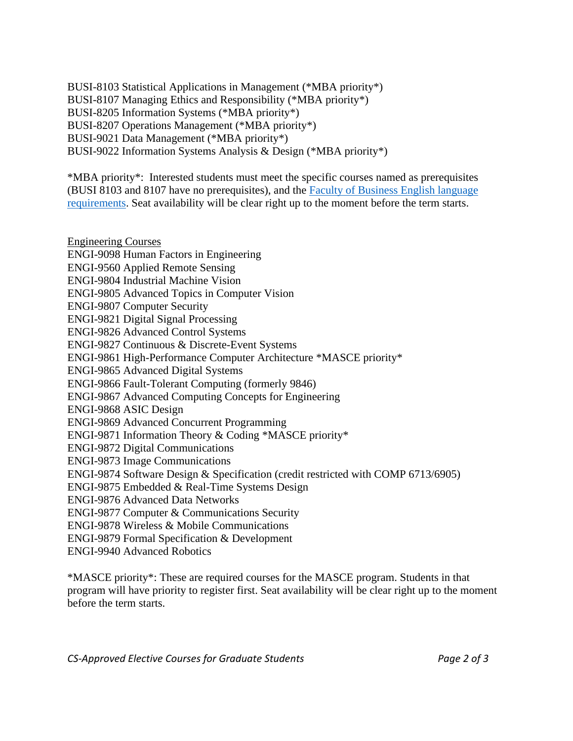BUSI-8103 Statistical Applications in Management (\*MBA priority\*) BUSI-8107 Managing Ethics and Responsibility (\*MBA priority\*) BUSI-8205 Information Systems (\*MBA priority\*) BUSI-8207 Operations Management (\*MBA priority\*) BUSI-9021 Data Management (\*MBA priority\*) BUSI-9022 Information Systems Analysis & Design (\*MBA priority\*)

\*MBA priority\*: Interested students must meet the specific courses named as prerequisites (BUSI 8103 and 8107 have no prerequisites), and the [Faculty of Business English language](https://www.business.mun.ca/graduate/mba/mba-admission-requirements.php)  [requirements.](https://www.business.mun.ca/graduate/mba/mba-admission-requirements.php) Seat availability will be clear right up to the moment before the term starts.

Engineering Courses ENGI-9098 Human Factors in Engineering ENGI-9560 Applied Remote Sensing ENGI-9804 Industrial Machine Vision ENGI-9805 Advanced Topics in Computer Vision ENGI-9807 Computer Security ENGI-9821 Digital Signal Processing ENGI-9826 Advanced Control Systems ENGI-9827 Continuous & Discrete-Event Systems ENGI-9861 High-Performance Computer Architecture \*MASCE priority\* ENGI-9865 Advanced Digital Systems ENGI-9866 Fault-Tolerant Computing (formerly 9846) ENGI-9867 Advanced Computing Concepts for Engineering ENGI-9868 ASIC Design ENGI-9869 Advanced Concurrent Programming ENGI-9871 Information Theory & Coding \*MASCE priority\* ENGI-9872 Digital Communications ENGI-9873 Image Communications ENGI-9874 Software Design & Specification (credit restricted with COMP 6713/6905) ENGI-9875 Embedded & Real-Time Systems Design ENGI-9876 Advanced Data Networks ENGI-9877 Computer & Communications Security ENGI-9878 Wireless & Mobile Communications ENGI-9879 Formal Specification & Development ENGI-9940 Advanced Robotics

\*MASCE priority\*: These are required courses for the MASCE program. Students in that program will have priority to register first. Seat availability will be clear right up to the moment before the term starts.